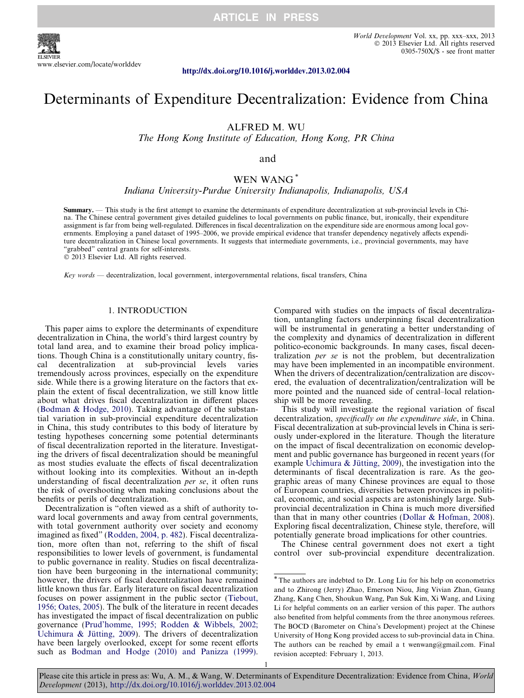

#### World Development Vol. xx, pp. xxx–xxx, 2013 © 2013 Elsevier Ltd. All rights reserved 0305-750X/\$ - see front matter

#### <http://dx.doi.org/10.1016/j.worlddev.2013.02.004>

# Determinants of Expenditure Decentralization: Evidence from China

ALFRED M. WU

The Hong Kong Institute of Education, Hong Kong, PR China

and

# WEN WANG<sup>\*</sup>

Indiana University-Purdue University Indianapolis, Indianapolis, USA

Summary. — This study is the first attempt to examine the determinants of expenditure decentralization at sub-provincial levels in China. The Chinese central government gives detailed guidelines to local governments on public finance, but, ironically, their expenditure assignment is far from being well-regulated. Differences in fiscal decentralization on the expenditure side are enormous among local governments. Employing a panel dataset of 1995–2006, we provide empirical evidence that transfer dependency negatively affects expenditure decentralization in Chinese local governments. It suggests that intermediate governments, i.e., provincial governments, may have "grabbed" central grants for self-interests. © 2013 Elsevier Ltd. All rights reserved.

 $Key words$  — decentralization, local government, intergovernmental relations, fiscal transfers, China

### 1. INTRODUCTION

This paper aims to explore the determinants of expenditure decentralization in China, the world's third largest country by total land area, and to examine their broad policy implications. Though China is a constitutionally unitary country, fiscal decentralization at sub-provincial levels varies tremendously across provinces, especially on the expenditure side. While there is a growing literature on the factors that explain the extent of fiscal decentralization, we still know little about what drives fiscal decentralization in different places ([Bodman & Hodge, 2010](#page--1-0)). Taking advantage of the substantial variation in sub-provincial expenditure decentralization in China, this study contributes to this body of literature by testing hypotheses concerning some potential determinants of fiscal decentralization reported in the literature. Investigating the drivers of fiscal decentralization should be meaningful as most studies evaluate the effects of fiscal decentralization without looking into its complexities. Without an in-depth understanding of fiscal decentralization per se, it often runs the risk of overshooting when making conclusions about the benefits or perils of decentralization.

Decentralization is "often viewed as a shift of authority toward local governments and away from central governments, with total government authority over society and economy imagined as fixed" [\(Rodden, 2004, p. 482\)](#page--1-0). Fiscal decentralization, more often than not, referring to the shift of fiscal responsibilities to lower levels of government, is fundamental to public governance in reality. Studies on fiscal decentralization have been burgeoning in the international community; however, the drivers of fiscal decentralization have remained little known thus far. Early literature on fiscal decentralization focuses on power assignment in the public sector [\(Tiebout,](#page--1-0) [1956; Oates, 2005](#page--1-0)). The bulk of the literature in recent decades has investigated the impact of fiscal decentralization on public governance [\(Prud'homme, 1995; Rodden & Wibbels, 2002;](#page--1-0) Uchimura & Jütting, 2009). The drivers of decentralization have been largely overlooked, except for some recent efforts such as [Bodman and Hodge \(2010\) and Panizza \(1999\)](#page--1-0). Compared with studies on the impacts of fiscal decentralization, untangling factors underpinning fiscal decentralization will be instrumental in generating a better understanding of the complexity and dynamics of decentralization in different politico-economic backgrounds. In many cases, fiscal decentralization per se is not the problem, but decentralization may have been implemented in an incompatible environment. When the drivers of decentralization/centralization are discovered, the evaluation of decentralization/centralization will be more pointed and the nuanced side of central–local relationship will be more revealing.

This study will investigate the regional variation of fiscal decentralization, *specifically on the expenditure side*, in China. Fiscal decentralization at sub-provincial levels in China is seriously under-explored in the literature. Though the literature on the impact of fiscal decentralization on economic development and public governance has burgeoned in recent years (for example Uchimura  $&$  Jütting, 2009), the investigation into the determinants of fiscal decentralization is rare. As the geographic areas of many Chinese provinces are equal to those of European countries, diversities between provinces in political, economic, and social aspects are astonishingly large. Subprovincial decentralization in China is much more diversified than that in many other countries ([Dollar & Hofman, 2008\)](#page--1-0). Exploring fiscal decentralization, Chinese style, therefore, will potentially generate broad implications for other countries.

The Chinese central government does not exert a tight control over sub-provincial expenditure decentralization.

1

Please cite this article in press as: Wu, A. M., & Wang, W. Determinants of Expenditure Decentralization: Evidence from China, World Development (2013), <http://dx.doi.org/10.1016/j.worlddev.2013.02.004>

<sup>\*</sup>The authors are indebted to Dr. Long Liu for his help on econometrics and to Zhirong (Jerry) Zhao, Emerson Niou, Jing Vivian Zhan, Guang Zhang, Kang Chen, Shoukun Wang, Pan Suk Kim, Xi Wang, and Lixing Li for helpful comments on an earlier version of this paper. The authors also benefited from helpful comments from the three anonymous referees. The BOCD (Barometer on China's Development) project at the Chinese University of Hong Kong provided access to sub-provincial data in China. The authors can be reached by email a t wenwang@gmail.com. Final revision accepted: February 1, 2013.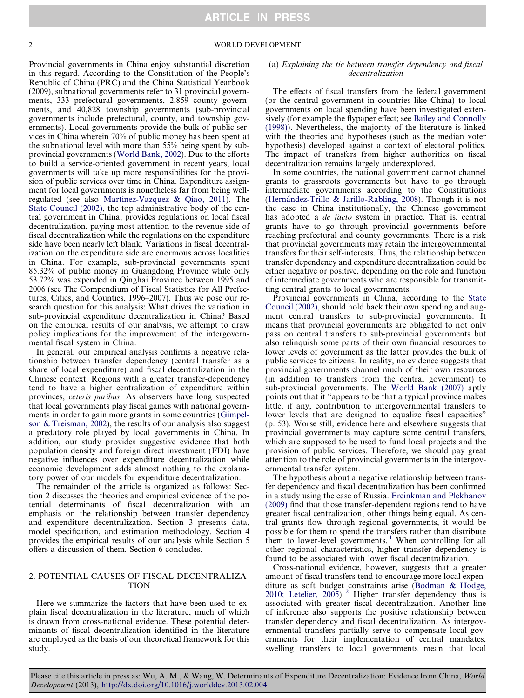## 2 WORLD DEVELOPMENT

Provincial governments in China enjoy substantial discretion in this regard. According to the Constitution of the People's Republic of China (PRC) and the China Statistical Yearbook (2009), subnational governments refer to 31 provincial governments, 333 prefectural governments, 2,859 county governments, and 40,828 township governments (sub-provincial governments include prefectural, county, and township governments). Local governments provide the bulk of public services in China wherein 70% of public money has been spent at the subnational level with more than 55% being spent by subprovincial governments ([World Bank, 2002](#page--1-0)). Due to the efforts to build a service-oriented government in recent years, local governments will take up more responsibilities for the provision of public services over time in China. Expenditure assignment for local governments is nonetheless far from being wellregulated (see also [Martinez-Vazquez & Qiao, 2011\)](#page--1-0). The [State Council \(2002\),](#page--1-0) the top administrative body of the central government in China, provides regulations on local fiscal decentralization, paying most attention to the revenue side of fiscal decentralization while the regulations on the expenditure side have been nearly left blank. Variations in fiscal decentralization on the expenditure side are enormous across localities in China. For example, sub-provincial governments spent 85.32% of public money in Guangdong Province while only 53.72% was expended in Qinghai Province between 1995 and 2006 (see The Compendium of Fiscal Statistics for All Prefectures, Cities, and Counties, 1996–2007). Thus we pose our research question for this analysis: What drives the variation in sub-provincial expenditure decentralization in China? Based on the empirical results of our analysis, we attempt to draw policy implications for the improvement of the intergovernmental fiscal system in China.

In general, our empirical analysis confirms a negative relationship between transfer dependency (central transfer as a share of local expenditure) and fiscal decentralization in the Chinese context. Regions with a greater transfer-dependency tend to have a higher centralization of expenditure within provinces, ceteris paribus. As observers have long suspected that local governments play fiscal games with national governments in order to gain more grants in some countries ([Gimpel](#page--1-0)[son & Treisman, 2002](#page--1-0)), the results of our analysis also suggest a predatory role played by local governments in China. In addition, our study provides suggestive evidence that both population density and foreign direct investment (FDI) have negative influences over expenditure decentralization while economic development adds almost nothing to the explanatory power of our models for expenditure decentralization.

The remainder of the article is organized as follows: Section 2 discusses the theories and empirical evidence of the potential determinants of fiscal decentralization with an emphasis on the relationship between transfer dependency and expenditure decentralization. Section 3 presents data, model specification, and estimation methodology. Section 4 provides the empirical results of our analysis while Section 5 offers a discussion of them. Section 6 concludes.

#### 2. POTENTIAL CAUSES OF FISCAL DECENTRALIZA-**TION**

Here we summarize the factors that have been used to explain fiscal decentralization in the literature, much of which is drawn from cross-national evidence. These potential determinants of fiscal decentralization identified in the literature are employed as the basis of our theoretical framework for this study.

### (a) Explaining the tie between transfer dependency and fiscal decentralization

The effects of fiscal transfers from the federal government (or the central government in countries like China) to local governments on local spending have been investigated extensively (for example the flypaper effect; see [Bailey and Connolly](#page--1-0) [\(1998\)\)](#page--1-0). Nevertheless, the majority of the literature is linked with the theories and hypotheses (such as the median voter hypothesis) developed against a context of electoral politics. The impact of transfers from higher authorities on fiscal decentralization remains largely underexplored.

In some countries, the national government cannot channel grants to grassroots governments but have to go through intermediate governments according to the Constitutions (Hernández-Trillo & Jarillo-Rabling, 2008). Though it is not the case in China institutionally, the Chinese government has adopted a *de facto* system in practice. That is, central grants have to go through provincial governments before reaching prefectural and county governments. There is a risk that provincial governments may retain the intergovernmental transfers for their self-interests. Thus, the relationship between transfer dependency and expenditure decentralization could be either negative or positive, depending on the role and function of intermediate governments who are responsible for transmitting central grants to local governments.

Provincial governments in China, according to the [State](#page--1-0) [Council \(2002\)](#page--1-0), should hold back their own spending and augment central transfers to sub-provincial governments. It means that provincial governments are obligated to not only pass on central transfers to sub-provincial governments but also relinquish some parts of their own financial resources to lower levels of government as the latter provides the bulk of public services to citizens. In reality, no evidence suggests that provincial governments channel much of their own resources (in addition to transfers from the central government) to sub-provincial governments. The [World Bank \(2007\)](#page--1-0) aptly points out that it "appears to be that a typical province makes little, if any, contribution to intergovernmental transfers to lower levels that are designed to equalize fiscal capacities" (p. 53). Worse still, evidence here and elsewhere suggests that provincial governments may capture some central transfers, which are supposed to be used to fund local projects and the provision of public services. Therefore, we should pay great attention to the role of provincial governments in the intergovernmental transfer system.

The hypothesis about a negative relationship between transfer dependency and fiscal decentralization has been confirmed in a study using the case of Russia. [Freinkman and Plekhanov](#page--1-0) [\(2009\)](#page--1-0) find that those transfer-dependent regions tend to have greater fiscal centralization, other things being equal. As central grants flow through regional governments, it would be possible for them to spend the transfers rather than distribute them to lower-level governments.<sup>1</sup> When controlling for all other regional characteristics, higher transfer dependency is found to be associated with lower fiscal decentralization.

Cross-national evidence, however, suggests that a greater amount of fiscal transfers tend to encourage more local expenditure as soft budget constraints arise ([Bodman & Hodge,](#page--1-0) [2010; Letelier, 2005\)](#page--1-0). <sup>2</sup> Higher transfer dependency thus is associated with greater fiscal decentralization. Another line of inference also supports the positive relationship between transfer dependency and fiscal decentralization. As intergovernmental transfers partially serve to compensate local governments for their implementation of central mandates, swelling transfers to local governments mean that local

Please cite this article in press as: Wu, A. M., & Wang, W. Determinants of Expenditure Decentralization: Evidence from China, World Development (2013), <http://dx.doi.org/10.1016/j.worlddev.2013.02.004>